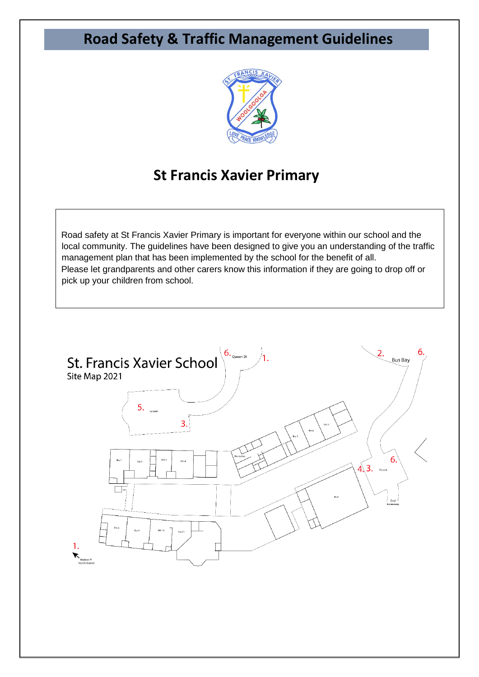# **Road Safety & Traffic Management Guidelines**



## **St Francis Xavier Primary**

Road safety at St Francis Xavier Primary is important for everyone within our school and the local community. The guidelines have been designed to give you an understanding of the traffic management plan that has been implemented by the school for the benefit of all. Please let grandparents and other carers know this information if they are going to drop off or pick up your children from school.

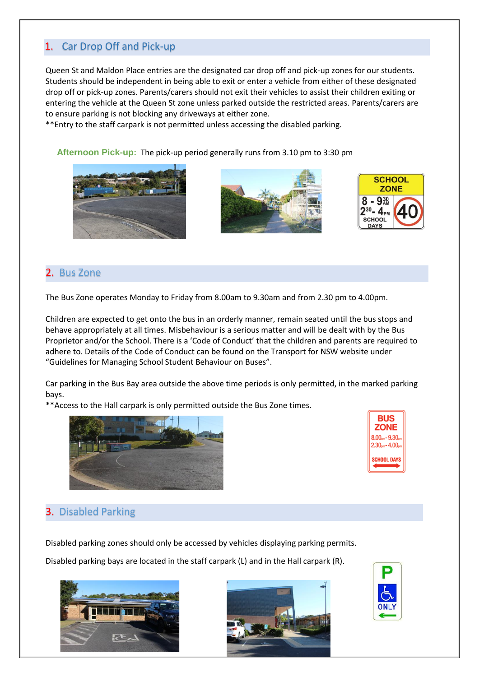### 1. Car Drop Off and Pick-up

Queen St and Maldon Place entries are the designated car drop off and pick-up zones for our students. Students should be independent in being able to exit or enter a vehicle from either of these designated drop off or pick-up zones. Parents/carers should not exit their vehicles to assist their children exiting or entering the vehicle at the Queen St zone unless parked outside the restricted areas. Parents/carers are to ensure parking is not blocking any driveways at either zone.

\*\*Entry to the staff carpark is not permitted unless accessing the disabled parking.

**Afternoon Pick-up:** The pick-up period generally runs from 3.10 pm to 3:30 pm







#### 2. Bus Zone

The Bus Zone operates Monday to Friday from 8.00am to 9.30am and from 2.30 pm to 4.00pm.

Children are expected to get onto the bus in an orderly manner, remain seated until the bus stops and behave appropriately at all times. Misbehaviour is a serious matter and will be dealt with by the Bus Proprietor and/or the School. There is a 'Code of Conduct' that the children and parents are required to adhere to. Details of the Code of Conduct can be found on the Transport for NSW website under "Guidelines for Managing School Student Behaviour on Buses".

Car parking in the Bus Bay area outside the above time periods is only permitted, in the marked parking bays.

\*\*Access to the Hall carpark is only permitted outside the Bus Zone times.



| BUS<br>ZONE                            |
|----------------------------------------|
| $8.00nm - 9.30nm$<br>$2.30pm - 4.00cm$ |
| <b>SCHOOL DAYS</b>                     |

### 3. Disabled Parking

Disabled parking zones should only be accessed by vehicles displaying parking permits.

Disabled parking bays are located in the staff carpark (L) and in the Hall carpark (R).





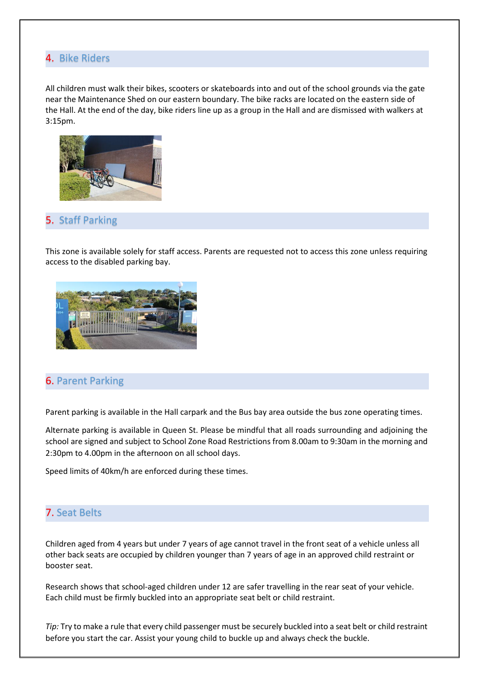#### 4. Bike Riders

All children must walk their bikes, scooters or skateboards into and out of the school grounds via the gate near the Maintenance Shed on our eastern boundary. The bike racks are located on the eastern side of the Hall. At the end of the day, bike riders line up as a group in the Hall and are dismissed with walkers at 3:15pm.



#### 5. Staff Parking

This zone is available solely for staff access. Parents are requested not to access this zone unless requiring access to the disabled parking bay.



#### 6. Parent Parking

Parent parking is available in the Hall carpark and the Bus bay area outside the bus zone operating times.

Alternate parking is available in Queen St. Please be mindful that all roads surrounding and adjoining the school are signed and subject to School Zone Road Restrictions from 8.00am to 9:30am in the morning and 2:30pm to 4.00pm in the afternoon on all school days.

Speed limits of 40km/h are enforced during these times.

#### 7. Seat Belts

Children aged from 4 years but under 7 years of age cannot travel in the front seat of a vehicle unless all other back seats are occupied by children younger than 7 years of age in an approved child restraint or booster seat.

Research shows that school-aged children under 12 are safer travelling in the rear seat of your vehicle. Each child must be firmly buckled into an appropriate seat belt or child restraint.

*Tip:* Try to make a rule that every child passenger must be securely buckled into a seat belt or child restraint before you start the car. Assist your young child to buckle up and always check the buckle.